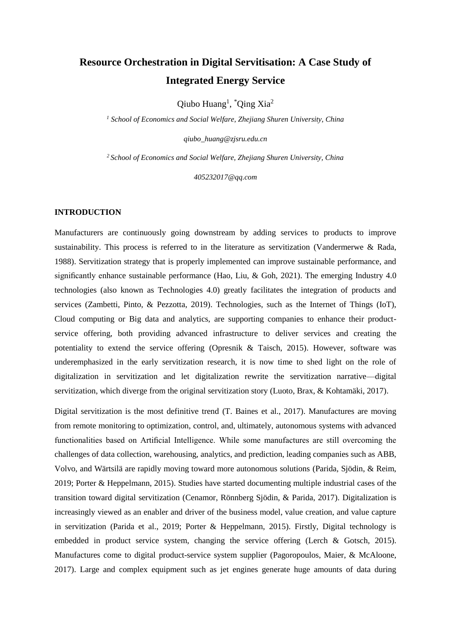# **Resource Orchestration in Digital Servitisation: A Case Study of Integrated Energy Service**

 $\text{Qiubo Huang}^1$ ,  $\text{'Qing Xia}^2$ 

*<sup>1</sup> School of Economics and Social Welfare, Zhejiang Shuren University, China*

*qiubo\_huang@zjsru.edu.cn*

*<sup>2</sup>School of Economics and Social Welfare, Zhejiang Shuren University, China*

*405232017@qq.com*

## **INTRODUCTION**

Manufacturers are continuously going downstream by adding services to products to improve sustainability. This process is referred to in the literature as servitization [\(Vandermerwe & Rada,](#page-20-0)  [1988\)](#page-20-0). Servitization strategy that is properly implemented can improve sustainable performance, and significantly enhance sustainable performance (Hao, Liu, & Goh, 2021). The emerging Industry 4.0 technologies (also known as Technologies 4.0) greatly facilitates the integration of products and services [\(Zambetti, Pinto, &](#page-20-1) Pezzotta, 2019). Technologies, such as the Internet of Things (IoT), Cloud computing or Big data and analytics, are supporting companies to enhance their productservice offering, both providing advanced infrastructure to deliver services and creating the potentiality to extend the service offering [\(Opresnik & Taisch, 2015\)](#page-17-0). However, software was underemphasized in the early servitization research, it is now time to shed light on the role of digitalization in servitization and let digitalization rewrite the servitization narrative—digital servitization, which diverge from the original servitization story [\(Luoto, Brax, & Kohtamäki, 2017\)](#page-17-1).

Digital servitization is the most definitive trend (T. Baines et al., 2017). Manufactures are moving from remote monitoring to optimization, control, and, ultimately, autonomous systems with advanced functionalities based on Artificial Intelligence. While some manufactures are still overcoming the challenges of data collection, warehousing, analytics, and prediction, leading companies such as ABB, Volvo, and Wärtsilä are rapidly moving toward more autonomous solutions [\(Parida, Sjödin, & Reim,](#page-18-0)  [2019;](#page-18-0) [Porter & Heppelmann, 2015\)](#page-18-1). Studies have started documenting multiple industrial cases of the transition toward digital servitization (Cenamor, Rönnberg Sjödin, & Parida, 2017). Digitalization is increasingly viewed as an enabler and driver of the business model, value creation, and value capture in servitization [\(Parida et al., 2019;](#page-18-0) [Porter & Heppelmann, 2015\)](#page-18-1). Firstly, Digital technology is embedded in product service system, changing the service offering [\(Lerch & Gotsch, 2015\)](#page-16-0). Manufactures come to digital product-service system supplier [\(Pagoropoulos, Maier, & McAloone,](#page-17-2)  [2017\)](#page-17-2). Large and complex equipment such as jet engines generate huge amounts of data during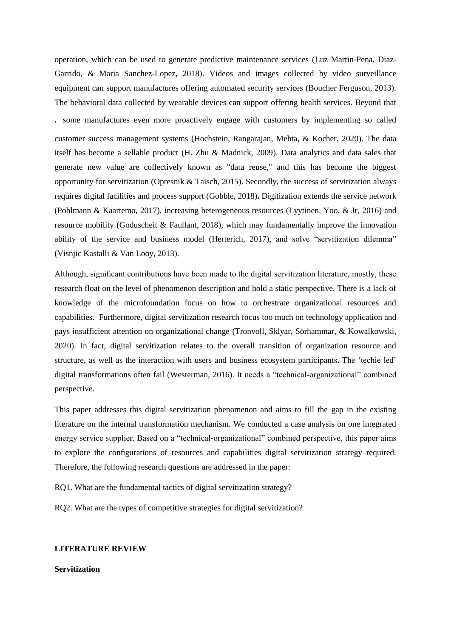operation, which can be used to generate predictive maintenance services [\(Luz Martin-Pena, Diaz-](#page-17-3)[Garrido, & Maria Sanchez-Lopez, 2018\)](#page-17-3). Videos and images collected by video surveillance equipment can support manufactures offering automated security services (Boucher Ferguson, 2013). The behavioral data collected by wearable devices can support offering health services. Beyond that , some manufactures even more proactively engage with customers by implementing so called customer success management systems (Hochstein, Rangarajan, Mehta, & Kocher, 2020). The data itself has become a sellable product [\(H. Zhu & Madnick, 2009\)](#page-21-0). Data analytics and data sales that generate new value are collectively known as "data reuse," and this has become the biggest opportunity for servitization [\(Opresnik & Taisch, 2015\)](#page-17-0). Secondly, the success of servitization always requires digital facilities and process support (Gobble, 2018)**.** Digitization extends the service network [\(Pohlmann & Kaartemo, 2017\)](#page-18-2), increasing heterogeneous resources [\(Lyytinen, Yoo, & Jr, 2016\)](#page-17-4) and resource mobility (Goduscheit & Faullant, 2018), which may fundamentally improve the innovation ability of the service and business model (Herterich, 2017), and solve "servitization dilemma" [\(Visnjic Kastalli & Van Looy, 2013\)](#page-20-2).

Although, significant contributions have been made to the digital servitization literature, mostly, these research float on the level of phenomenon description and hold a static perspective. There is a lack of knowledge of the microfoundation focus on how to orchestrate organizational resources and capabilities. Furthermore, digital servitization research focus too much on technology application and pays insufficient attention on organizational change [\(Tronvoll, Sklyar, Sörhammar, & Kowalkowski,](#page-19-0)  [2020\)](#page-19-0). In fact, digital servitization relates to the overall transition of organization resource and structure, as well as the interaction with users and business ecosystem participants. The 'techie led' digital transformations often fail [\(Westerman, 2016\)](#page-20-3). It needs a "technical-organizational" combined perspective.

This paper addresses this digital servitization phenomenon and aims to fill the gap in the existing literature on the internal transformation mechanism. We conducted a case analysis on one integrated energy service supplier. Based on a "technical-organizational" combined perspective, this paper aims to explore the configurations of resources and capabilities digital servitization strategy required. Therefore, the following research questions are addressed in the paper:

RQ1. What are the fundamental tactics of digital servitization strategy?

RQ2. What are the types of competitive strategies for digital servitization?

#### **LITERATURE REVIEW**

**Servitization**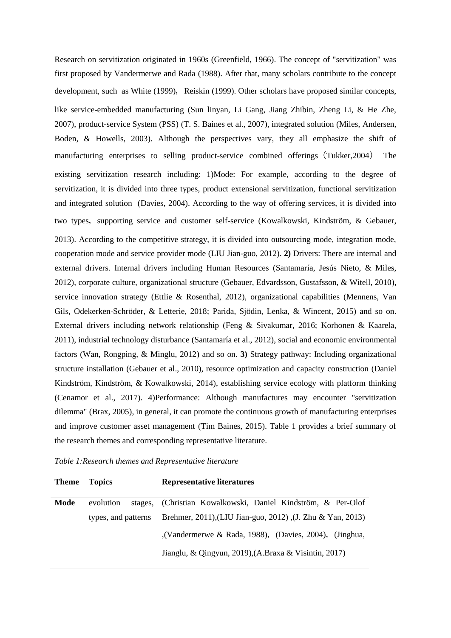Research on servitization originated in 1960s (Greenfield, 1966). The concept of "servitization" was first proposed by Vandermerwe and Rada [\(1988\)](#page-20-0). After that, many scholars contribute to the concept development, such as White [\(1999\)](#page-18-3), Reiskin (1999). Other scholars have proposed similar concepts, like service-embedded manufacturing [\(Sun linyan, Li Gang, Jiang Zhibin, Zheng Li, & He Zhe,](#page-19-1)  [2007\)](#page-19-1), product-service System (PSS) (T. S. Baines et al., 2007), integrated solution [\(Miles, Andersen,](#page-17-5)  [Boden, & Howells, 2003\)](#page-17-5). Although the perspectives vary, they all emphasize the shift of manufacturing enterprises to selling product-service combined offerings(Tukker,2004) The existing servitization research including: 1)Mode: For example, according to the degree of servitization, it is divided into three types, product extensional servitization, functional servitization and integrated solution (Davies, 2004). According to the way of offering services, it is divided into two types, supporting service and customer self-service (Kowalkowski, Kindström, & Gebauer, [2013\)](#page-16-1). According to the competitive strategy, it is divided into outsourcing mode, integration mode, cooperation mode and service provider mode [\(LIU Jian-guo, 2012\)](#page-17-6). **2)** Drivers: There are internal and external drivers. Internal drivers including Human Resources [\(Santamaría, Jesús Nieto, & Miles,](#page-19-2)  [2012\)](#page-19-2), corporate culture, organizational structure (Gebauer, Edvardsson, Gustafsson, & Witell, 2010), service innovation strategy (Ettlie & Rosenthal, 2012), organizational capabilities [\(Mennens, Van](#page-17-7)  [Gils, Odekerken-Schröder, & Letterie, 2018;](#page-17-7) [Parida, Sjödin, Lenka, & Wincent, 2015\)](#page-18-4) and so on. External drivers including network relationship (Feng & Sivakumar, 2016; [Korhonen & Kaarela,](#page-16-2)  [2011\)](#page-16-2), industrial technology disturbance [\(Santamaría et al., 2012\)](#page-19-2), social and economic environmental factors [\(Wan, Rongping, & Minglu, 2012\)](#page-20-4) and so on. **3)** Strategy pathway: Including organizational structure installation (Gebauer et al., 2010), resource optimization and capacity construction (Daniel Kindström, Kindström, & Kowalkowski, 2014), establishing service ecology with platform thinking (Cenamor et al., 2017). 4)Performance: Although manufactures may encounter "servitization dilemma" (Brax, 2005), in general, it can promote the continuous growth of manufacturing enterprises and improve customer asset management (Tim Baines, 2015). Table 1 provides a brief summary of the research themes and corresponding representative literature.

| Table 1: Research themes and Representative literature |  |  |
|--------------------------------------------------------|--|--|
|--------------------------------------------------------|--|--|

| <b>Theme</b> | <b>Topics</b>       | <b>Representative literatures</b>                            |
|--------------|---------------------|--------------------------------------------------------------|
| Mode         | evolution           | stages, (Christian Kowalkowski, Daniel Kindström, & Per-Olof |
|              | types, and patterns | Brehmer, 2011), (LIU Jian-guo, 2012), (J. Zhu & Yan, 2013)   |
|              |                     | , (Vandermerwe & Rada, 1988), (Davies, 2004), (Jinghua,      |
|              |                     | Jianglu, & Qingyun, 2019), (A.Braxa & Visintin, 2017)        |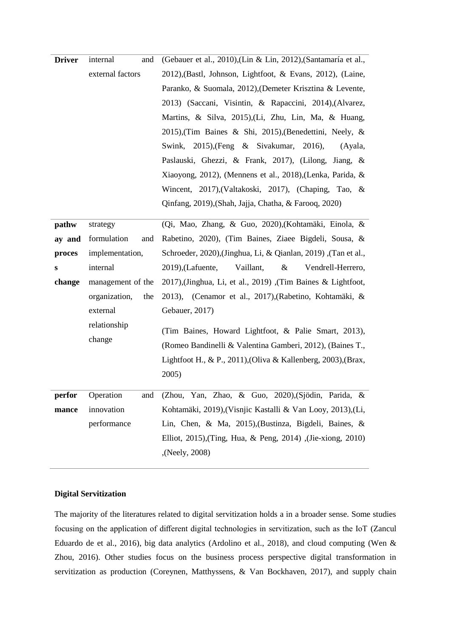| <b>Driver</b> | internal<br>and      | (Gebauer et al., 2010), (Lin & Lin, 2012), (Santamaría et al.,   |
|---------------|----------------------|------------------------------------------------------------------|
|               | external factors     | 2012), (Bastl, Johnson, Lightfoot, & Evans, 2012), (Laine,       |
|               |                      | Paranko, & Suomala, 2012), (Demeter Krisztina & Levente,         |
|               |                      | 2013) (Saccani, Visintin, & Rapaccini, 2014), (Alvarez,          |
|               |                      | Martins, & Silva, 2015), (Li, Zhu, Lin, Ma, & Huang,             |
|               |                      | 2015), (Tim Baines & Shi, 2015), (Benedettini, Neely, &          |
|               |                      | Swink, 2015), (Feng & Sivakumar, 2016),<br>(Ayala,               |
|               |                      | Paslauski, Ghezzi, & Frank, 2017), (Lilong, Jiang, &             |
|               |                      | Xiaoyong, 2012), (Mennens et al., 2018), (Lenka, Parida, &       |
|               |                      | Wincent, 2017), (Valtakoski, 2017), (Chaping, Tao, &             |
|               |                      | Qinfang, 2019), (Shah, Jajja, Chatha, & Farooq, 2020)            |
|               |                      |                                                                  |
| pathw         | strategy             | (Qi, Mao, Zhang, & Guo, 2020), (Kohtamäki, Einola, &             |
| ay and        | formulation<br>and   | Rabetino, 2020), (Tim Baines, Ziaee Bigdeli, Sousa, &            |
| proces        | implementation,      | , Schroeder, 2020), (Jinghua, Li, & Qianlan, 2019) , (Tan et al. |
| s             | internal             | $2019$ ), (Lafuente,<br>Vendrell-Herrero,<br>Vaillant,<br>&      |
| change        | management of the    | 2017), (Jinghua, Li, et al., 2019), (Tim Baines & Lightfoot,     |
|               | organization,<br>the | 2013), (Cenamor et al., 2017), (Rabetino, Kohtamäki, &           |
|               | external             | Gebauer, 2017)                                                   |
|               | relationship         | (Tim Baines, Howard Lightfoot, & Palie Smart, 2013),             |
|               | change               | (Romeo Bandinelli & Valentina Gamberi, 2012), (Baines T.,        |
|               |                      | Lightfoot H., & P., 2011), (Oliva & Kallenberg, 2003), (Brax,    |
|               |                      | 2005)                                                            |
|               |                      |                                                                  |
| perfor        | Operation<br>and     | (Zhou, Yan, Zhao, & Guo, 2020), (Sjödin, Parida, &               |
| mance         | innovation           | Kohtamäki, 2019), (Visnjic Kastalli & Van Looy, 2013), (Li,      |
|               | performance          | Lin, Chen, & Ma, 2015), (Bustinza, Bigdeli, Baines, &            |
|               |                      | Elliot, 2015), (Ting, Hua, & Peng, 2014), (Jie-xiong, 2010)      |
|               |                      | (Neely, 2008),                                                   |

# **Digital Servitization**

The majority of the literatures related to digital servitization holds a in a broader sense. Some studies focusing on the application of different digital technologies in servitization, such as the IoT [\(Zancul](#page-20-7)  [Eduardo de et al., 2016\)](#page-20-7), big data analytics (Ardolino et al., 2018), and cloud computing [\(Wen &](#page-20-8)  [Zhou, 2016\)](#page-20-8). Other studies focus on the business process perspective digital transformation in servitization as production (Coreynen, Matthyssens, & Van Bockhaven, 2017), and supply chain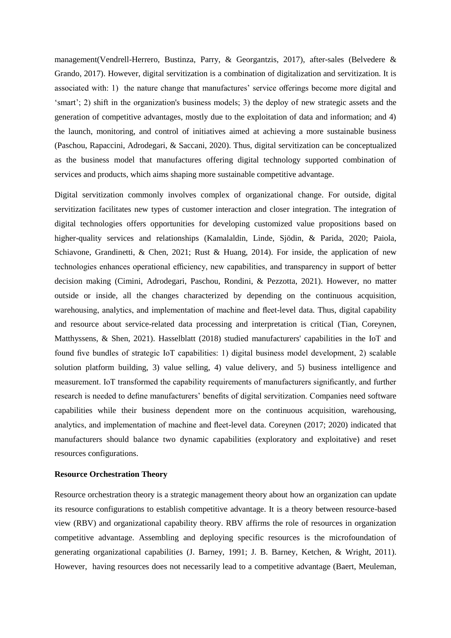management[\(Vendrell-Herrero, Bustinza, Parry, & Georgantzis, 2017\)](#page-20-9), after-sales (Belvedere & Grando, 2017). However, digital servitization is a combination of digitalization and servitization. It is associated with: 1) the nature change that manufactures' service offerings become more digital and 'smart'; 2) shift in the organization's business models; 3) the deploy of new strategic assets and the generation of competitive advantages, mostly due to the exploitation of data and information; and 4) the launch, monitoring, and control of initiatives aimed at achieving a more sustainable business [\(Paschou, Rapaccini, Adrodegari, & Saccani, 2020\)](#page-18-9). Thus, digital servitization can be conceptualized as the business model that manufactures offering digital technology supported combination of services and products, which aims shaping more sustainable competitive advantage.

Digital servitization commonly involves complex of organizational change. For outside, digital servitization facilitates new types of customer interaction and closer integration. The integration of digital technologies offers opportunities for developing customized value propositions based on higher-quality services and relationships [\(Kamalaldin, Linde, Sjödin, & Parida, 2020;](#page-15-3) [Paiola,](#page-17-11)  [Schiavone, Grandinetti, & Chen, 2021;](#page-17-11) [Rust & Huang, 2014\)](#page-18-10). For inside, the application of new technologies enhances operational efficiency, new capabilities, and transparency in support of better decision making (Cimini, Adrodegari, Paschou, Rondini, & Pezzotta, 2021). However, no matter outside or inside, all the changes characterized by depending on the continuous acquisition, warehousing, analytics, and implementation of machine and fleet-level data. Thus, digital capability and resource about service-related data processing and interpretation is critical [\(Tian, Coreynen,](#page-19-8)  [Matthyssens, & Shen, 2021\)](#page-19-8). Hasselblatt (2018) studied manufacturers' capabilities in the IoT and found five bundles of strategic IoT capabilities: 1) digital business model development, 2) scalable solution platform building, 3) value selling, 4) value delivery, and 5) business intelligence and measurement. IoT transformed the capability requirements of manufacturers significantly, and further research is needed to define manufacturers' benefits of digital servitization. Companies need software capabilities while their business dependent more on the continuous acquisition, warehousing, analytics, and implementation of machine and fleet-level data. Coreynen (2017; 2020) indicated that manufacturers should balance two dynamic capabilities (exploratory and exploitative) and reset resources configurations.

## **Resource Orchestration Theory**

Resource orchestration theory is a strategic management theory about how an organization can update its resource configurations to establish competitive advantage. It is a theory between resource-based view (RBV) and organizational capability theory. RBV affirms the role of resources in organization competitive advantage. Assembling and deploying specific resources is the microfoundation of generating organizational capabilities (J. Barney, 1991; J. B. Barney, Ketchen, & Wright, 2011). However, having resources does not necessarily lead to a competitive advantage (Baert, Meuleman,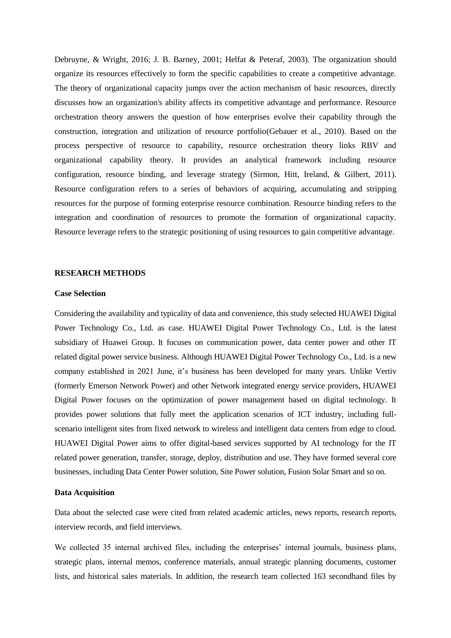Debruyne, & Wright, 2016; J. B. Barney, 2001; Helfat & Peteraf, 2003). The organization should organize its resources effectively to form the specific capabilities to create a competitive advantage. The theory of organizational capacity jumps over the action mechanism of basic resources, directly discusses how an organization's ability affects its competitive advantage and performance. Resource orchestration theory answers the question of how enterprises evolve their capability through the construction, integration and utilization of resource portfolio(Gebauer et al., 2010). Based on the process perspective of resource to capability, resource orchestration theory links RBV and organizational capability theory. It provides an analytical framework including resource configuration, resource binding, and leverage strategy [\(Sirmon, Hitt, Ireland, & Gilbert, 2011\)](#page-19-9). Resource configuration refers to a series of behaviors of acquiring, accumulating and stripping resources for the purpose of forming enterprise resource combination. Resource binding refers to the integration and coordination of resources to promote the formation of organizational capacity. Resource leverage refers to the strategic positioning of using resources to gain competitive advantage.

## **RESEARCH METHODS**

#### **Case Selection**

Considering the availability and typicality of data and convenience, this study selected HUAWEI Digital Power Technology Co., Ltd. as case. HUAWEI Digital Power Technology Co., Ltd. is the latest subsidiary of Huawei Group. It focuses on communication power, data center power and other IT related digital power service business. Although HUAWEI Digital Power Technology Co., Ltd. is a new company established in 2021 June, it's business has been developed for many years. Unlike Vertiv (formerly Emerson Network Power) and other Network integrated energy service providers, HUAWEI Digital Power focuses on the optimization of power management based on digital technology. It provides power solutions that fully meet the application scenarios of ICT industry, including fullscenario intelligent sites from fixed network to wireless and intelligent data centers from edge to cloud. HUAWEI Digital Power aims to offer digital-based services supported by AI technology for the IT related power generation, transfer, storage, deploy, distribution and use. They have formed several core businesses, including Data Center Power solution, Site Power solution, Fusion Solar Smart and so on.

### **Data Acquisition**

Data about the selected case were cited from related academic articles, news reports, research reports, interview records, and field interviews.

We collected 35 internal archived files, including the enterprises' internal journals, business plans, strategic plans, internal memos, conference materials, annual strategic planning documents, customer lists, and historical sales materials. In addition, the research team collected 163 secondhand files by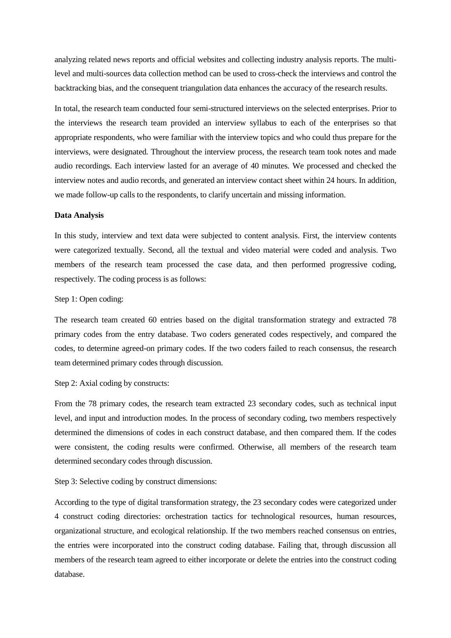analyzing related news reports and official websites and collecting industry analysis reports. The multilevel and multi-sources data collection method can be used to cross-check the interviews and control the backtracking bias, and the consequent triangulation data enhances the accuracy of the research results.

In total, the research team conducted four semi-structured interviews on the selected enterprises. Prior to the interviews the research team provided an interview syllabus to each of the enterprises so that appropriate respondents, who were familiar with the interview topics and who could thus prepare for the interviews, were designated. Throughout the interview process, the research team took notes and made audio recordings. Each interview lasted for an average of 40 minutes. We processed and checked the interview notes and audio records, and generated an interview contact sheet within 24 hours. In addition, we made follow-up calls to the respondents, to clarify uncertain and missing information.

## **Data Analysis**

In this study, interview and text data were subjected to content analysis. First, the interview contents were categorized textually. Second, all the textual and video material were coded and analysis. Two members of the research team processed the case data, and then performed progressive coding, respectively. The coding process is as follows:

#### Step 1: Open coding:

The research team created 60 entries based on the digital transformation strategy and extracted 78 primary codes from the entry database. Two coders generated codes respectively, and compared the codes, to determine agreed-on primary codes. If the two coders failed to reach consensus, the research team determined primary codes through discussion.

### Step 2: Axial coding by constructs:

From the 78 primary codes, the research team extracted 23 secondary codes, such as technical input level, and input and introduction modes. In the process of secondary coding, two members respectively determined the dimensions of codes in each construct database, and then compared them. If the codes were consistent, the coding results were confirmed. Otherwise, all members of the research team determined secondary codes through discussion.

## Step 3: Selective coding by construct dimensions:

According to the type of digital transformation strategy, the 23 secondary codes were categorized under 4 construct coding directories: orchestration tactics for technological resources, human resources, organizational structure, and ecological relationship. If the two members reached consensus on entries, the entries were incorporated into the construct coding database. Failing that, through discussion all members of the research team agreed to either incorporate or delete the entries into the construct coding database.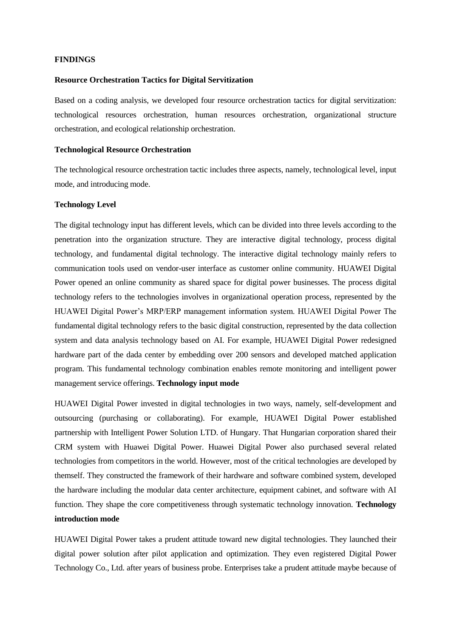## **FINDINGS**

## **Resource Orchestration Tactics for Digital Servitization**

Based on a coding analysis, we developed four resource orchestration tactics for digital servitization: technological resources orchestration, human resources orchestration, organizational structure orchestration, and ecological relationship orchestration.

## **Technological Resource Orchestration**

The technological resource orchestration tactic includes three aspects, namely, technological level, input mode, and introducing mode.

## **Technology Level**

The digital technology input has different levels, which can be divided into three levels according to the penetration into the organization structure. They are interactive digital technology, process digital technology, and fundamental digital technology. The interactive digital technology mainly refers to communication tools used on vendor-user interface as customer online community. HUAWEI Digital Power opened an online community as shared space for digital power businesses. The process digital technology refers to the technologies involves in organizational operation process, represented by the HUAWEI Digital Power's MRP/ERP management information system. HUAWEI Digital Power The fundamental digital technology refers to the basic digital construction, represented by the data collection system and data analysis technology based on AI. For example, HUAWEI Digital Power redesigned hardware part of the dada center by embedding over 200 sensors and developed matched application program. This fundamental technology combination enables remote monitoring and intelligent power management service offerings. **Technology input mode**

HUAWEI Digital Power invested in digital technologies in two ways, namely, self-development and outsourcing (purchasing or collaborating). For example, HUAWEI Digital Power established partnership with Intelligent Power Solution LTD. of Hungary. That Hungarian corporation shared their CRM system with Huawei Digital Power. Huawei Digital Power also purchased several related technologies from competitors in the world. However, most of the critical technologies are developed by themself. They constructed the framework of their hardware and software combined system, developed the hardware including the modular data center architecture, equipment cabinet, and software with AI function. They shape the core competitiveness through systematic technology innovation. **Technology introduction mode**

HUAWEI Digital Power takes a prudent attitude toward new digital technologies. They launched their digital power solution after pilot application and optimization. They even registered Digital Power Technology Co., Ltd. after years of business probe. Enterprises take a prudent attitude maybe because of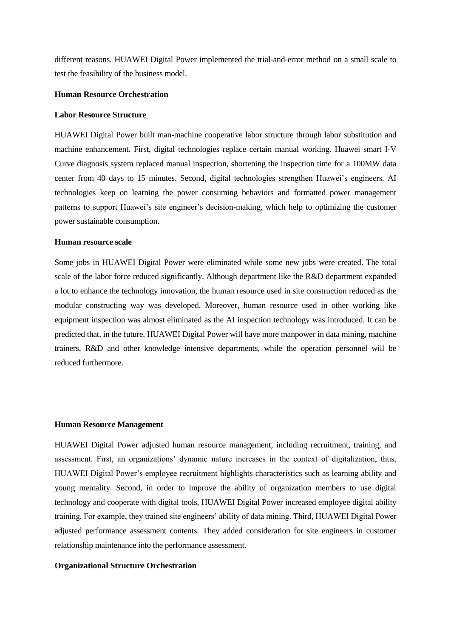different reasons. HUAWEI Digital Power implemented the trial-and-error method on a small scale to test the feasibility of the business model.

#### **Human Resource Orchestration**

#### **Labor Resource Structure**

HUAWEI Digital Power built man-machine cooperative labor structure through labor substitution and machine enhancement. First, digital technologies replace certain manual working. Huawei smart I-V Curve diagnosis system replaced manual inspection, shortening the inspection time for a 100MW data center from 40 days to 15 minutes. Second, digital technologies strengthen Huawei's engineers. AI technologies keep on learning the power consuming behaviors and formatted power management patterns to support Huawei's site engineer's decision-making, which help to optimizing the customer power sustainable consumption.

## **Human resource scale**

Some jobs in HUAWEI Digital Power were eliminated while some new jobs were created. The total scale of the labor force reduced significantly. Although department like the R&D department expanded a lot to enhance the technology innovation, the human resource used in site construction reduced as the modular constructing way was developed. Moreover, human resource used in other working like equipment inspection was almost eliminated as the AI inspection technology was introduced. It can be predicted that, in the future, HUAWEI Digital Power will have more manpower in data mining, machine trainers, R&D and other knowledge intensive departments, while the operation personnel will be reduced furthermore.

#### **Human Resource Management**

HUAWEI Digital Power adjusted human resource management, including recruitment, training, and assessment. First, an organizations' dynamic nature increases in the context of digitalization, thus, HUAWEI Digital Power's employee recruitment highlights characteristics such as learning ability and young mentality. Second, in order to improve the ability of organization members to use digital technology and cooperate with digital tools, HUAWEI Digital Power increased employee digital ability training. For example, they trained site engineers' ability of data mining. Third, HUAWEI Digital Power adjusted performance assessment contents. They added consideration for site engineers in customer relationship maintenance into the performance assessment.

#### **Organizational Structure Orchestration**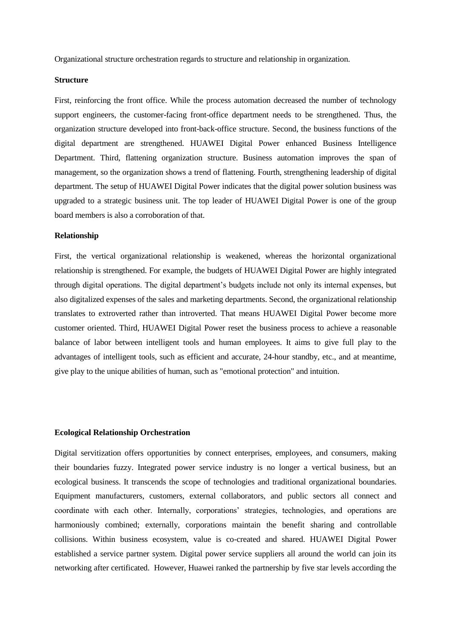Organizational structure orchestration regards to structure and relationship in organization.

## **Structure**

First, reinforcing the front office. While the process automation decreased the number of technology support engineers, the customer-facing front-office department needs to be strengthened. Thus, the organization structure developed into front-back-office structure. Second, the business functions of the digital department are strengthened. HUAWEI Digital Power enhanced Business Intelligence Department. Third, flattening organization structure. Business automation improves the span of management, so the organization shows a trend of flattening. Fourth, strengthening leadership of digital department. The setup of HUAWEI Digital Power indicates that the digital power solution business was upgraded to a strategic business unit. The top leader of HUAWEI Digital Power is one of the group board members is also a corroboration of that.

#### **Relationship**

First, the vertical organizational relationship is weakened, whereas the horizontal organizational relationship is strengthened. For example, the budgets of HUAWEI Digital Power are highly integrated through digital operations. The digital department's budgets include not only its internal expenses, but also digitalized expenses of the sales and marketing departments. Second, the organizational relationship translates to extroverted rather than introverted. That means HUAWEI Digital Power become more customer oriented. Third, HUAWEI Digital Power reset the business process to achieve a reasonable balance of labor between intelligent tools and human employees. It aims to give full play to the advantages of intelligent tools, such as efficient and accurate, 24-hour standby, etc., and at meantime, give play to the unique abilities of human, such as "emotional protection" and intuition.

#### **Ecological Relationship Orchestration**

Digital servitization offers opportunities by connect enterprises, employees, and consumers, making their boundaries fuzzy. Integrated power service industry is no longer a vertical business, but an ecological business. It transcends the scope of technologies and traditional organizational boundaries. Equipment manufacturers, customers, external collaborators, and public sectors all connect and coordinate with each other. Internally, corporations' strategies, technologies, and operations are harmoniously combined; externally, corporations maintain the benefit sharing and controllable collisions. Within business ecosystem, value is co-created and shared. HUAWEI Digital Power established a service partner system. Digital power service suppliers all around the world can join its networking after certificated. However, Huawei ranked the partnership by five star levels according the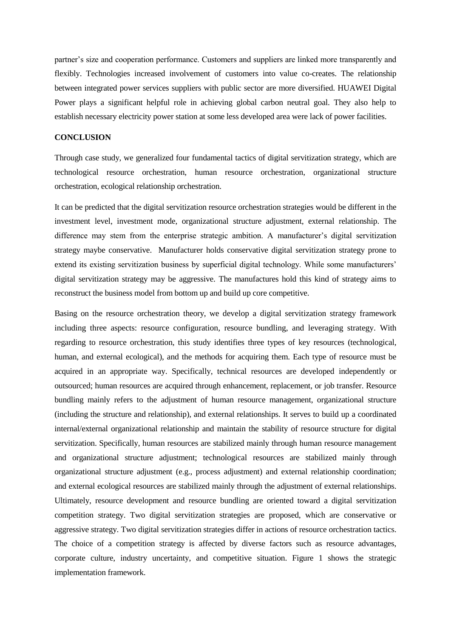partner's size and cooperation performance. Customers and suppliers are linked more transparently and flexibly. Technologies increased involvement of customers into value co-creates. The relationship between integrated power services suppliers with public sector are more diversified. HUAWEI Digital Power plays a significant helpful role in achieving global carbon neutral goal. They also help to establish necessary electricity power station at some less developed area were lack of power facilities.

## **CONCLUSION**

Through case study, we generalized four fundamental tactics of digital servitization strategy, which are technological resource orchestration, human resource orchestration, organizational structure orchestration, ecological relationship orchestration.

It can be predicted that the digital servitization resource orchestration strategies would be different in the investment level, investment mode, organizational structure adjustment, external relationship. The difference may stem from the enterprise strategic ambition. A manufacturer's digital servitization strategy maybe conservative. Manufacturer holds conservative digital servitization strategy prone to extend its existing servitization business by superficial digital technology. While some manufacturers' digital servitization strategy may be aggressive. The manufactures hold this kind of strategy aims to reconstruct the business model from bottom up and build up core competitive.

Basing on the resource orchestration theory, we develop a digital servitization strategy framework including three aspects: resource configuration, resource bundling, and leveraging strategy. With regarding to resource orchestration, this study identifies three types of key resources (technological, human, and external ecological), and the methods for acquiring them. Each type of resource must be acquired in an appropriate way. Specifically, technical resources are developed independently or outsourced; human resources are acquired through enhancement, replacement, or job transfer. Resource bundling mainly refers to the adjustment of human resource management, organizational structure (including the structure and relationship), and external relationships. It serves to build up a coordinated internal/external organizational relationship and maintain the stability of resource structure for digital servitization. Specifically, human resources are stabilized mainly through human resource management and organizational structure adjustment; technological resources are stabilized mainly through organizational structure adjustment (e.g., process adjustment) and external relationship coordination; and external ecological resources are stabilized mainly through the adjustment of external relationships. Ultimately, resource development and resource bundling are oriented toward a digital servitization competition strategy. Two digital servitization strategies are proposed, which are conservative or aggressive strategy. Two digital servitization strategies differ in actions of resource orchestration tactics. The choice of a competition strategy is affected by diverse factors such as resource advantages, corporate culture, industry uncertainty, and competitive situation. Figure 1 shows the strategic implementation framework.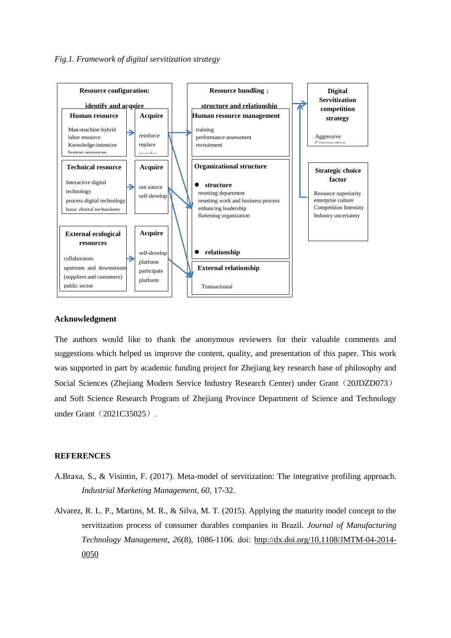

#### **Acknowledgment**

The authors would like to thank the anonymous reviewers for their valuable comments and suggestions which helped us improve the content, quality, and presentation of this paper. This work was supported in part by academic funding project for Zhejiang key research base of philosophy and Social Sciences (Zhejiang Modern Service Industry Research Center) under Grant (20JDZD073) and Soft Science Research Program of Zhejiang Province Department of Science and Technology under Grant (2021C35025).

## **REFERENCES**

- A.Braxa, S., & Visintin, F. (2017). Meta-model of servitization: The integrative profiling approach. *Industrial Marketing Management, 60*, 17-32.
- Alvarez, R. L. P., Martins, M. R., & Silva, M. T. (2015). Applying the maturity model concept to the servitization process of consumer durables companies in Brazil. *Journal of Manufacturing Technology Management, 26*(8), 1086-1106. doi: [http://dx.doi.org/10.1108/JMTM-04-2014-](http://dx.doi.org/10.1108/JMTM-04-2014-0050) [0050](http://dx.doi.org/10.1108/JMTM-04-2014-0050)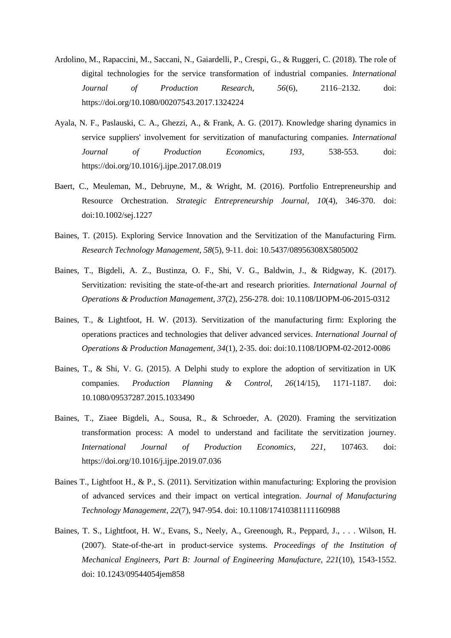- Ardolino, M., Rapaccini, M., Saccani, N., Gaiardelli, P., Crespi, G., & Ruggeri, C. (2018). The role of digital technologies for the service transformation of industrial companies. *International Journal of Production Research, 56*(6), 2116–2132. doi: https://doi.org/10.1080/00207543.2017.1324224
- Ayala, N. F., Paslauski, C. A., Ghezzi, A., & Frank, A. G. (2017). Knowledge sharing dynamics in service suppliers' involvement for servitization of manufacturing companies. *International Journal of Production Economics, 193*, 538-553. doi: https://doi.org/10.1016/j.ijpe.2017.08.019
- Baert, C., Meuleman, M., Debruyne, M., & Wright, M. (2016). Portfolio Entrepreneurship and Resource Orchestration. *Strategic Entrepreneurship Journal, 10*(4), 346-370. doi: doi:10.1002/sej.1227
- Baines, T. (2015). Exploring Service Innovation and the Servitization of the Manufacturing Firm. *Research Technology Management, 58*(5), 9-11. doi: 10.5437/08956308X5805002
- Baines, T., Bigdeli, A. Z., Bustinza, O. F., Shi, V. G., Baldwin, J., & Ridgway, K. (2017). Servitization: revisiting the state-of-the-art and research priorities. *International Journal of Operations & Production Management, 37*(2), 256-278. doi: 10.1108/IJOPM-06-2015-0312
- Baines, T., & Lightfoot, H. W. (2013). Servitization of the manufacturing firm: Exploring the operations practices and technologies that deliver advanced services. *International Journal of Operations & Production Management, 34*(1), 2-35. doi: doi:10.1108/IJOPM-02-2012-0086
- Baines, T., & Shi, V. G. (2015). A Delphi study to explore the adoption of servitization in UK companies. *Production Planning & Control, 26*(14/15), 1171-1187. doi: 10.1080/09537287.2015.1033490
- Baines, T., Ziaee Bigdeli, A., Sousa, R., & Schroeder, A. (2020). Framing the servitization transformation process: A model to understand and facilitate the servitization journey. *International Journal of Production Economics, 221*, 107463. doi: https://doi.org/10.1016/j.ijpe.2019.07.036
- Baines T., Lightfoot H., & P., S. (2011). Servitization within manufacturing: Exploring the provision of advanced services and their impact on vertical integration. *Journal of Manufacturing Technology Management, 22*(7), 947-954. doi: 10.1108/17410381111160988
- Baines, T. S., Lightfoot, H. W., Evans, S., Neely, A., Greenough, R., Peppard, J., . . . Wilson, H. (2007). State-of-the-art in product-service systems. *Proceedings of the Institution of Mechanical Engineers, Part B: Journal of Engineering Manufacture, 221*(10), 1543-1552. doi: 10.1243/09544054jem858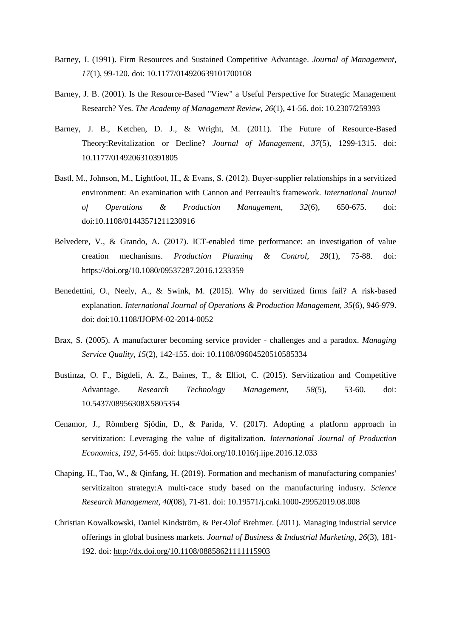- Barney, J. (1991). Firm Resources and Sustained Competitive Advantage. *Journal of Management, 17*(1), 99-120. doi: 10.1177/014920639101700108
- Barney, J. B. (2001). Is the Resource-Based "View" a Useful Perspective for Strategic Management Research? Yes. *The Academy of Management Review, 26*(1), 41-56. doi: 10.2307/259393
- Barney, J. B., Ketchen, D. J., & Wright, M. (2011). The Future of Resource-Based Theory:Revitalization or Decline? *Journal of Management, 37*(5), 1299-1315. doi: 10.1177/0149206310391805
- Bastl, M., Johnson, M., Lightfoot, H., & Evans, S. (2012). Buyer-supplier relationships in a servitized environment: An examination with Cannon and Perreault's framework. *International Journal of Operations & Production Management, 32*(6), 650-675. doi: doi:10.1108/01443571211230916
- Belvedere, V., & Grando, A. (2017). ICT-enabled time performance: an investigation of value creation mechanisms. *Production Planning & Control, 28*(1), 75-88. doi: https://doi.org/10.1080/09537287.2016.1233359
- Benedettini, O., Neely, A., & Swink, M. (2015). Why do servitized firms fail? A risk-based explanation. *International Journal of Operations & Production Management, 35*(6), 946-979. doi: doi:10.1108/IJOPM-02-2014-0052
- Brax, S. (2005). A manufacturer becoming service provider challenges and a paradox. *Managing Service Quality, 15*(2), 142-155. doi: 10.1108/09604520510585334
- Bustinza, O. F., Bigdeli, A. Z., Baines, T., & Elliot, C. (2015). Servitization and Competitive Advantage. *Research Technology Management, 58*(5), 53-60. doi: 10.5437/08956308X5805354
- Cenamor, J., Rönnberg Sjödin, D., & Parida, V. (2017). Adopting a platform approach in servitization: Leveraging the value of digitalization. *International Journal of Production Economics, 192*, 54-65. doi: https://doi.org/10.1016/j.ijpe.2016.12.033
- Chaping, H., Tao, W., & Qinfang, H. (2019). Formation and mechanism of manufacturing companies' servitizaiton strategy:A multi-cace study based on the manufacturing indusry. *Science Research Management, 40*(08), 71-81. doi: 10.19571/j.cnki.1000-29952019.08.008
- Christian Kowalkowski, Daniel Kindström, & Per-Olof Brehmer. (2011). Managing industrial service offerings in global business markets. *Journal of Business & Industrial Marketing, 26*(3), 181- 192. doi:<http://dx.doi.org/10.1108/08858621111115903>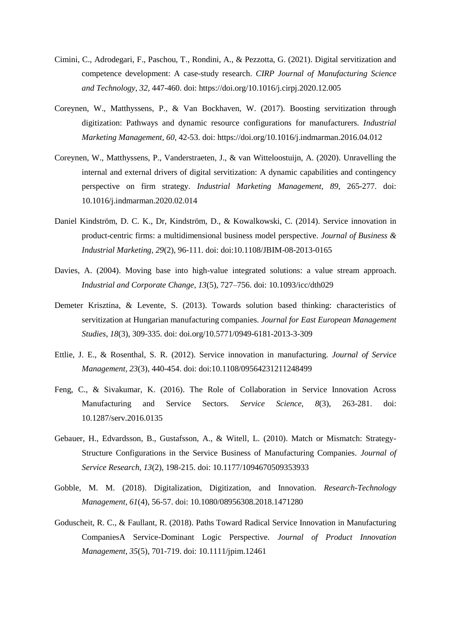- Cimini, C., Adrodegari, F., Paschou, T., Rondini, A., & Pezzotta, G. (2021). Digital servitization and competence development: A case-study research. *CIRP Journal of Manufacturing Science and Technology, 32*, 447-460. doi: https://doi.org/10.1016/j.cirpj.2020.12.005
- Coreynen, W., Matthyssens, P., & Van Bockhaven, W. (2017). Boosting servitization through digitization: Pathways and dynamic resource configurations for manufacturers. *Industrial Marketing Management, 60*, 42-53. doi: https://doi.org/10.1016/j.indmarman.2016.04.012
- Coreynen, W., Matthyssens, P., Vanderstraeten, J., & van Witteloostuijn, A. (2020). Unravelling the internal and external drivers of digital servitization: A dynamic capabilities and contingency perspective on firm strategy. *Industrial Marketing Management, 89*, 265-277. doi: 10.1016/j.indmarman.2020.02.014
- Daniel Kindström, D. C. K., Dr, Kindström, D., & Kowalkowski, C. (2014). Service innovation in product-centric firms: a multidimensional business model perspective. *Journal of Business & Industrial Marketing, 29*(2), 96-111. doi: doi:10.1108/JBIM-08-2013-0165
- Davies, A. (2004). Moving base into high-value integrated solutions: a value stream approach. *Industrial and Corporate Change, 13*(5), 727–756. doi: 10.1093/icc/dth029
- Demeter Krisztina, & Levente, S. (2013). Towards solution based thinking: characteristics of servitization at Hungarian manufacturing companies. *Journal for East European Management Studies, 18*(3), 309-335. doi: doi.org/10.5771/0949-6181-2013-3-309
- Ettlie, J. E., & Rosenthal, S. R. (2012). Service innovation in manufacturing. *Journal of Service Management, 23*(3), 440-454. doi: doi:10.1108/09564231211248499
- Feng, C., & Sivakumar, K. (2016). The Role of Collaboration in Service Innovation Across Manufacturing and Service Sectors. *Service Science, 8*(3), 263-281. doi: 10.1287/serv.2016.0135
- Gebauer, H., Edvardsson, B., Gustafsson, A., & Witell, L. (2010). Match or Mismatch: Strategy-Structure Configurations in the Service Business of Manufacturing Companies. *Journal of Service Research, 13*(2), 198-215. doi: 10.1177/1094670509353933
- Gobble, M. M. (2018). Digitalization, Digitization, and Innovation. *Research-Technology Management, 61*(4), 56-57. doi: 10.1080/08956308.2018.1471280
- Goduscheit, R. C., & Faullant, R. (2018). Paths Toward Radical Service Innovation in Manufacturing CompaniesA Service-Dominant Logic Perspective. *Journal of Product Innovation Management, 35*(5), 701-719. doi: 10.1111/jpim.12461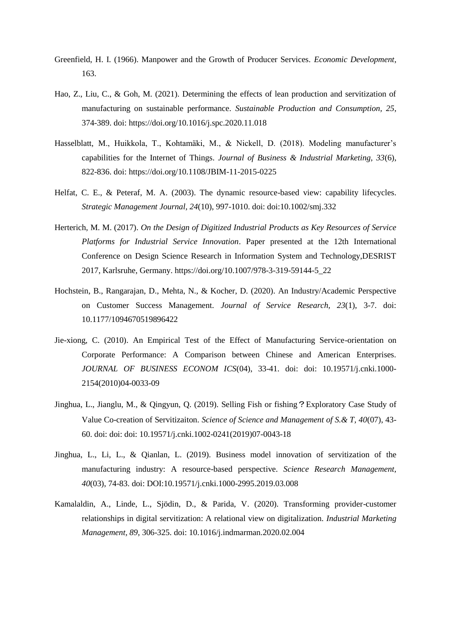- Greenfield, H. I. (1966). Manpower and the Growth of Producer Services. *Economic Development*, 163.
- Hao, Z., Liu, C., & Goh, M. (2021). Determining the effects of lean production and servitization of manufacturing on sustainable performance. *Sustainable Production and Consumption, 25*, 374-389. doi: https://doi.org/10.1016/j.spc.2020.11.018
- Hasselblatt, M., Huikkola, T., Kohtamäki, M., & Nickell, D. (2018). Modeling manufacturer's capabilities for the Internet of Things. *Journal of Business & Industrial Marketing, 33*(6), 822-836. doi: https://doi.org/10.1108/JBIM-11-2015-0225
- Helfat, C. E., & Peteraf, M. A. (2003). The dynamic resource-based view: capability lifecycles. *Strategic Management Journal, 24*(10), 997-1010. doi: doi:10.1002/smj.332
- Herterich, M. M. (2017). *On the Design of Digitized Industrial Products as Key Resources of Service Platforms for Industrial Service Innovation*. Paper presented at the 12th International Conference on Design Science Research in Information System and Technology,DESRIST 2017, Karlsruhe, Germany. https://doi.org/10.1007/978-3-319-59144-5\_22
- Hochstein, B., Rangarajan, D., Mehta, N., & Kocher, D. (2020). An Industry/Academic Perspective on Customer Success Management. *Journal of Service Research, 23*(1), 3-7. doi: 10.1177/1094670519896422
- <span id="page-15-2"></span>Jie-xiong, C. (2010). An Empirical Test of the Effect of Manufacturing Service-orientation on Corporate Performance: A Comparison between Chinese and American Enterprises. *JOURNAL OF BUSINESS ECONOM ICS*(04), 33-41. doi: doi: 10.19571/j.cnki.1000- 2154(2010)04-0033-09
- <span id="page-15-0"></span>Jinghua, L., Jianglu, M., & Qingyun, Q. (2019). Selling Fish or fishing?Exploratory Case Study of Value Co-creation of Servitizaiton. *Science of Science and Management of S.& T, 40*(07), 43- 60. doi: doi: doi: 10.19571/j.cnki.1002-0241(2019)07-0043-18
- <span id="page-15-1"></span>Jinghua, L., Li, L., & Qianlan, L. (2019). Business model innovation of servitization of the manufacturing industry: A resource-based perspective. *Science Research Management, 40*(03), 74-83. doi: DOI:10.19571/j.cnki.1000-2995.2019.03.008
- <span id="page-15-3"></span>Kamalaldin, A., Linde, L., Sjödin, D., & Parida, V. (2020). Transforming provider-customer relationships in digital servitization: A relational view on digitalization. *Industrial Marketing Management, 89*, 306-325. doi: 10.1016/j.indmarman.2020.02.004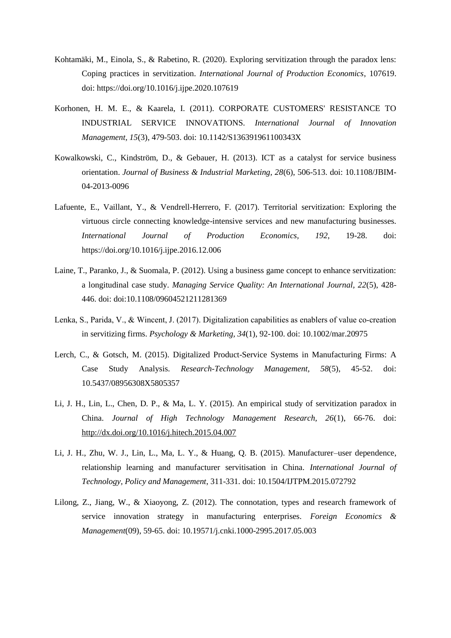- <span id="page-16-7"></span>Kohtamäki, M., Einola, S., & Rabetino, R. (2020). Exploring servitization through the paradox lens: Coping practices in servitization. *International Journal of Production Economics*, 107619. doi: https://doi.org/10.1016/j.ijpe.2020.107619
- <span id="page-16-2"></span>Korhonen, H. M. E., & Kaarela, I. (2011). CORPORATE CUSTOMERS' RESISTANCE TO INDUSTRIAL SERVICE INNOVATIONS. *International Journal of Innovation Management, 15*(3), 479-503. doi: 10.1142/S136391961100343X
- <span id="page-16-1"></span>Kowalkowski, C., Kindström, D., & Gebauer, H. (2013). ICT as a catalyst for service business orientation. *Journal of Business & Industrial Marketing, 28*(6), 506-513. doi: 10.1108/JBIM-04-2013-0096
- <span id="page-16-8"></span>Lafuente, E., Vaillant, Y., & Vendrell-Herrero, F. (2017). Territorial servitization: Exploring the virtuous circle connecting knowledge-intensive services and new manufacturing businesses. *International Journal of Production Economics, 192*, 19-28. doi: https://doi.org/10.1016/j.ijpe.2016.12.006
- <span id="page-16-3"></span>Laine, T., Paranko, J., & Suomala, P. (2012). Using a business game concept to enhance servitization: a longitudinal case study. *Managing Service Quality: An International Journal, 22*(5), 428- 446. doi: doi:10.1108/09604521211281369
- <span id="page-16-6"></span>Lenka, S., Parida, V., & Wincent, J. (2017). Digitalization capabilities as enablers of value co-creation in servitizing firms. *Psychology & Marketing, 34*(1), 92-100. doi: 10.1002/mar.20975
- <span id="page-16-0"></span>Lerch, C., & Gotsch, M. (2015). Digitalized Product-Service Systems in Manufacturing Firms: A Case Study Analysis. *Research-Technology Management, 58*(5), 45-52. doi: 10.5437/08956308X5805357
- <span id="page-16-9"></span>Li, J. H., Lin, L., Chen, D. P., & Ma, L. Y. (2015). An empirical study of servitization paradox in China. *Journal of High Technology Management Research, 26*(1), 66-76. doi: <http://dx.doi.org/10.1016/j.hitech.2015.04.007>
- <span id="page-16-4"></span>Li, J. H., Zhu, W. J., Lin, L., Ma, L. Y., & Huang, Q. B. (2015). Manufacturer–user dependence, relationship learning and manufacturer servitisation in China. *International Journal of Technology, Policy and Management*, 311-331. doi: 10.1504/IJTPM.2015.072792
- <span id="page-16-5"></span>Lilong, Z., Jiang, W., & Xiaoyong, Z. (2012). The connotation, types and research framework of service innovation strategy in manufacturing enterprises. *Foreign Economics & Management*(09), 59-65. doi: 10.19571/j.cnki.1000-2995.2017.05.003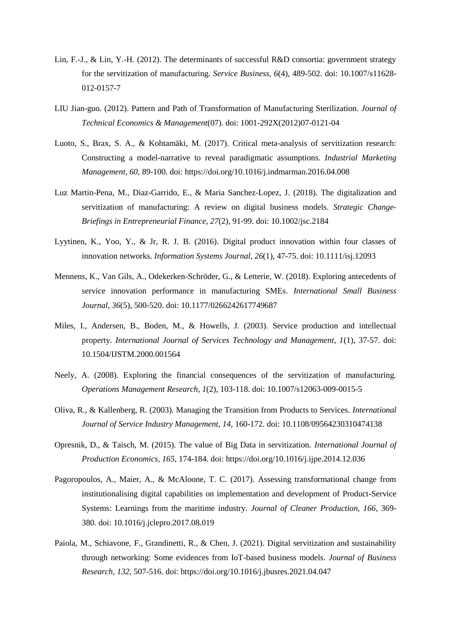- <span id="page-17-8"></span>Lin, F.-J., & Lin, Y.-H. (2012). The determinants of successful R&D consortia: government strategy for the servitization of manufacturing. *Service Business, 6*(4), 489-502. doi: 10.1007/s11628- 012-0157-7
- <span id="page-17-6"></span>LIU Jian-guo. (2012). Pattern and Path of Transformation of Manufacturing Sterilization. *Journal of Technical Economics & Management*(07). doi: 1001-292X(2012)07-0121-04
- <span id="page-17-1"></span>Luoto, S., Brax, S. A., & Kohtamäki, M. (2017). Critical meta-analysis of servitization research: Constructing a model-narrative to reveal paradigmatic assumptions. *Industrial Marketing Management, 60*, 89-100. doi: https://doi.org/10.1016/j.indmarman.2016.04.008
- <span id="page-17-3"></span>Luz Martin-Pena, M., Diaz-Garrido, E., & Maria Sanchez-Lopez, J. (2018). The digitalization and servitization of manufacturing: A review on digital business models. *Strategic Change-Briefings in Entrepreneurial Finance, 27*(2), 91-99. doi: 10.1002/jsc.2184
- <span id="page-17-4"></span>Lyytinen, K., Yoo, Y., & Jr, R. J. B. (2016). Digital product innovation within four classes of innovation networks. *Information Systems Journal, 26*(1), 47-75. doi: 10.1111/isj.12093
- <span id="page-17-7"></span>Mennens, K., Van Gils, A., Odekerken-Schröder, G., & Letterie, W. (2018). Exploring antecedents of service innovation performance in manufacturing SMEs. *International Small Business Journal, 36*(5), 500-520. doi: 10.1177/0266242617749687
- <span id="page-17-5"></span>Miles, I., Andersen, B., Boden, M., & Howells, J. (2003). Service production and intellectual property. *International Journal of Services Technology and Management, 1*(1), 37-57. doi: 10.1504/IJSTM.2000.001564
- <span id="page-17-10"></span>Neely, A. (2008). Exploring the financial consequences of the servitization of manufacturing. *Operations Management Research, 1*(2), 103-118. doi: 10.1007/s12063-009-0015-5
- <span id="page-17-9"></span>Oliva, R., & Kallenberg, R. (2003). Managing the Transition from Products to Services. *International Journal of Service Industry Management, 14*, 160-172. doi: 10.1108/09564230310474138
- <span id="page-17-0"></span>Opresnik, D., & Taisch, M. (2015). The value of Big Data in servitization. *International Journal of Production Economics, 165*, 174-184. doi: https://doi.org/10.1016/j.ijpe.2014.12.036
- <span id="page-17-2"></span>Pagoropoulos, A., Maier, A., & McAloone, T. C. (2017). Assessing transformational change from institutionalising digital capabilities on implementation and development of Product-Service Systems: Learnings from the maritime industry. *Journal of Cleaner Production, 166*, 369- 380. doi: 10.1016/j.jclepro.2017.08.019
- <span id="page-17-11"></span>Paiola, M., Schiavone, F., Grandinetti, R., & Chen, J. (2021). Digital servitization and sustainability through networking: Some evidences from IoT-based business models. *Journal of Business Research, 132*, 507-516. doi: https://doi.org/10.1016/j.jbusres.2021.04.047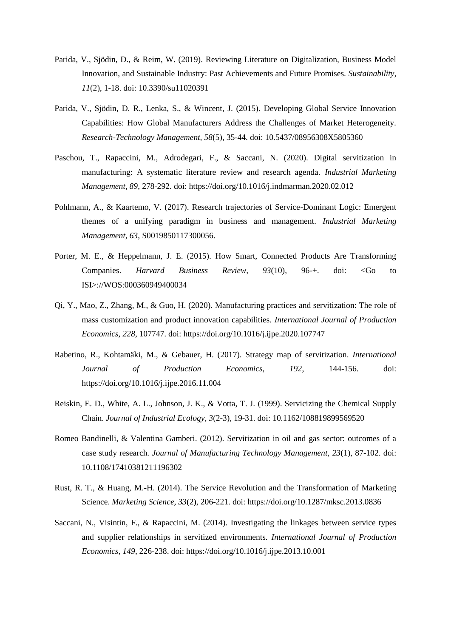- <span id="page-18-0"></span>Parida, V., Sjödin, D., & Reim, W. (2019). Reviewing Literature on Digitalization, Business Model Innovation, and Sustainable Industry: Past Achievements and Future Promises. *Sustainability, 11*(2), 1-18. doi: 10.3390/su11020391
- <span id="page-18-4"></span>Parida, V., Sjödin, D. R., Lenka, S., & Wincent, J. (2015). Developing Global Service Innovation Capabilities: How Global Manufacturers Address the Challenges of Market Heterogeneity. *Research-Technology Management, 58*(5), 35-44. doi: 10.5437/08956308X5805360
- <span id="page-18-9"></span>Paschou, T., Rapaccini, M., Adrodegari, F., & Saccani, N. (2020). Digital servitization in manufacturing: A systematic literature review and research agenda. *Industrial Marketing Management, 89*, 278-292. doi: https://doi.org/10.1016/j.indmarman.2020.02.012
- <span id="page-18-2"></span>Pohlmann, A., & Kaartemo, V. (2017). Research trajectories of Service-Dominant Logic: Emergent themes of a unifying paradigm in business and management. *Industrial Marketing Management, 63*, S0019850117300056.
- <span id="page-18-1"></span>Porter, M. E., & Heppelmann, J. E. (2015). How Smart, Connected Products Are Transforming Companies. *Harvard Business Review, 93*(10), 96-+. doi: <Go to ISI>://WOS:000360949400034
- <span id="page-18-6"></span>Qi, Y., Mao, Z., Zhang, M., & Guo, H. (2020). Manufacturing practices and servitization: The role of mass customization and product innovation capabilities. *International Journal of Production Economics, 228*, 107747. doi: https://doi.org/10.1016/j.ijpe.2020.107747
- <span id="page-18-7"></span>Rabetino, R., Kohtamäki, M., & Gebauer, H. (2017). Strategy map of servitization. *International Journal of Production Economics, 192*, 144-156. doi: https://doi.org/10.1016/j.ijpe.2016.11.004
- <span id="page-18-3"></span>Reiskin, E. D., White, A. L., Johnson, J. K., & Votta, T. J. (1999). Servicizing the Chemical Supply Chain. *Journal of Industrial Ecology, 3*(2-3), 19-31. doi: 10.1162/108819899569520
- <span id="page-18-8"></span>Romeo Bandinelli, & Valentina Gamberi. (2012). Servitization in oil and gas sector: outcomes of a case study research. *Journal of Manufacturing Technology Management, 23*(1), 87-102. doi: 10.1108/17410381211196302
- <span id="page-18-10"></span>Rust, R. T., & Huang, M.-H. (2014). The Service Revolution and the Transformation of Marketing Science. *Marketing Science, 33*(2), 206-221. doi: https://doi.org/10.1287/mksc.2013.0836
- <span id="page-18-5"></span>Saccani, N., Visintin, F., & Rapaccini, M. (2014). Investigating the linkages between service types and supplier relationships in servitized environments. *International Journal of Production Economics, 149*, 226-238. doi: https://doi.org/10.1016/j.ijpe.2013.10.001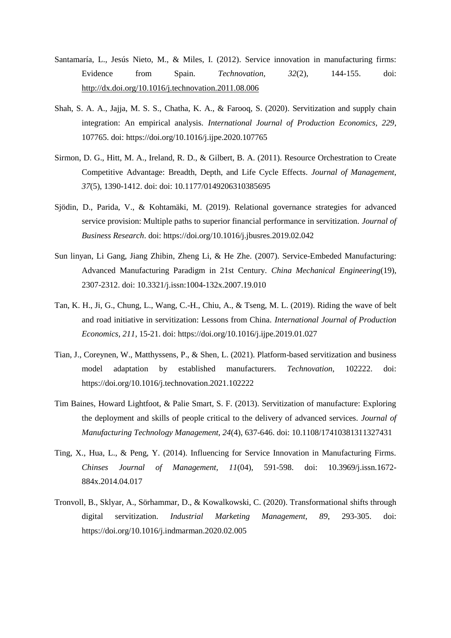- <span id="page-19-2"></span>Santamaría, L., Jesús Nieto, M., & Miles, I. (2012). Service innovation in manufacturing firms: Evidence from Spain. *Technovation, 32*(2), 144-155. doi: <http://dx.doi.org/10.1016/j.technovation.2011.08.006>
- <span id="page-19-3"></span>Shah, S. A. A., Jajja, M. S. S., Chatha, K. A., & Farooq, S. (2020). Servitization and supply chain integration: An empirical analysis. *International Journal of Production Economics, 229*, 107765. doi: https://doi.org/10.1016/j.ijpe.2020.107765
- <span id="page-19-9"></span>Sirmon, D. G., Hitt, M. A., Ireland, R. D., & Gilbert, B. A. (2011). Resource Orchestration to Create Competitive Advantage: Breadth, Depth, and Life Cycle Effects. *Journal of Management, 37*(5), 1390-1412. doi: doi: 10.1177/0149206310385695
- <span id="page-19-6"></span>Sjödin, D., Parida, V., & Kohtamäki, M. (2019). Relational governance strategies for advanced service provision: Multiple paths to superior financial performance in servitization. *Journal of Business Research*. doi: https://doi.org/10.1016/j.jbusres.2019.02.042
- <span id="page-19-1"></span>Sun linyan, Li Gang, Jiang Zhibin, Zheng Li, & He Zhe. (2007). Service-Embeded Manufacturing: Advanced Manufacturing Paradigm in 21st Century. *China Mechanical Engineering*(19), 2307-2312. doi: 10.3321/j.issn:1004-132x.2007.19.010
- <span id="page-19-4"></span>Tan, K. H., Ji, G., Chung, L., Wang, C.-H., Chiu, A., & Tseng, M. L. (2019). Riding the wave of belt and road initiative in servitization: Lessons from China. *International Journal of Production Economics, 211*, 15-21. doi: https://doi.org/10.1016/j.ijpe.2019.01.027
- <span id="page-19-8"></span>Tian, J., Coreynen, W., Matthyssens, P., & Shen, L. (2021). Platform-based servitization and business model adaptation by established manufacturers. *Technovation*, 102222. doi: https://doi.org/10.1016/j.technovation.2021.102222
- <span id="page-19-5"></span>Tim Baines, Howard Lightfoot, & Palie Smart, S. F. (2013). Servitization of manufacture: Exploring the deployment and skills of people critical to the delivery of advanced services. *Journal of Manufacturing Technology Management, 24*(4), 637-646. doi: 10.1108/17410381311327431
- <span id="page-19-7"></span>Ting, X., Hua, L., & Peng, Y. (2014). Influencing for Service Innovation in Manufacturing Firms. *Chinses Journal of Management, 11*(04), 591-598. doi: 10.3969/j.issn.1672- 884x.2014.04.017
- <span id="page-19-0"></span>Tronvoll, B., Sklyar, A., Sörhammar, D., & Kowalkowski, C. (2020). Transformational shifts through digital servitization. *Industrial Marketing Management, 89*, 293-305. doi: https://doi.org/10.1016/j.indmarman.2020.02.005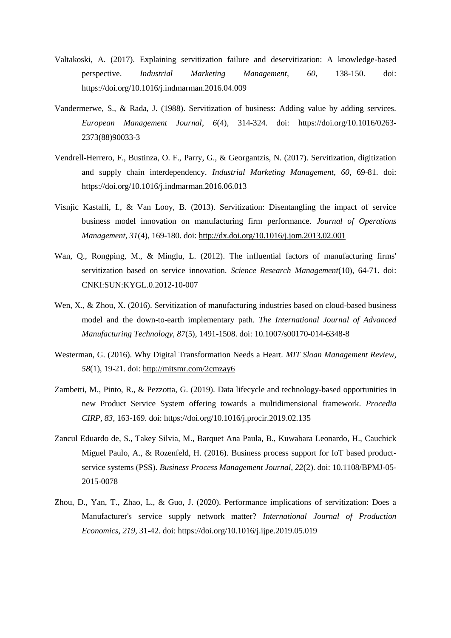- <span id="page-20-5"></span>Valtakoski, A. (2017). Explaining servitization failure and deservitization: A knowledge-based perspective. *Industrial Marketing Management, 60*, 138-150. doi: https://doi.org/10.1016/j.indmarman.2016.04.009
- <span id="page-20-0"></span>Vandermerwe, S., & Rada, J. (1988). Servitization of business: Adding value by adding services. *European Management Journal, 6*(4), 314-324. doi: https://doi.org/10.1016/0263- 2373(88)90033-3
- <span id="page-20-9"></span>Vendrell-Herrero, F., Bustinza, O. F., Parry, G., & Georgantzis, N. (2017). Servitization, digitization and supply chain interdependency. *Industrial Marketing Management, 60*, 69-81. doi: https://doi.org/10.1016/j.indmarman.2016.06.013
- <span id="page-20-2"></span>Visnjic Kastalli, I., & Van Looy, B. (2013). Servitization: Disentangling the impact of service business model innovation on manufacturing firm performance. *Journal of Operations Management, 31*(4), 169-180. doi:<http://dx.doi.org/10.1016/j.jom.2013.02.001>
- <span id="page-20-4"></span>Wan, Q., Rongping, M., & Minglu, L. (2012). The influential factors of manufacturing firms' servitization based on service innovation. *Science Research Management*(10), 64-71. doi: CNKI:SUN:KYGL.0.2012-10-007
- <span id="page-20-8"></span>Wen, X., & Zhou, X. (2016). Servitization of manufacturing industries based on cloud-based business model and the down-to-earth implementary path. *The International Journal of Advanced Manufacturing Technology, 87*(5), 1491-1508. doi: 10.1007/s00170-014-6348-8
- <span id="page-20-3"></span>Westerman, G. (2016). Why Digital Transformation Needs a Heart. *MIT Sloan Management Review, 58*(1), 19-21. doi:<http://mitsmr.com/2cmzay6>
- <span id="page-20-1"></span>Zambetti, M., Pinto, R., & Pezzotta, G. (2019). Data lifecycle and technology-based opportunities in new Product Service System offering towards a multidimensional framework. *Procedia CIRP, 83*, 163-169. doi: https://doi.org/10.1016/j.procir.2019.02.135
- <span id="page-20-7"></span>Zancul Eduardo de, S., Takey Silvia, M., Barquet Ana Paula, B., Kuwabara Leonardo, H., Cauchick Miguel Paulo, A., & Rozenfeld, H. (2016). Business process support for IoT based productservice systems (PSS). *Business Process Management Journal, 22*(2). doi: 10.1108/BPMJ-05- 2015-0078
- <span id="page-20-6"></span>Zhou, D., Yan, T., Zhao, L., & Guo, J. (2020). Performance implications of servitization: Does a Manufacturer's service supply network matter? *International Journal of Production Economics, 219*, 31-42. doi: https://doi.org/10.1016/j.ijpe.2019.05.019